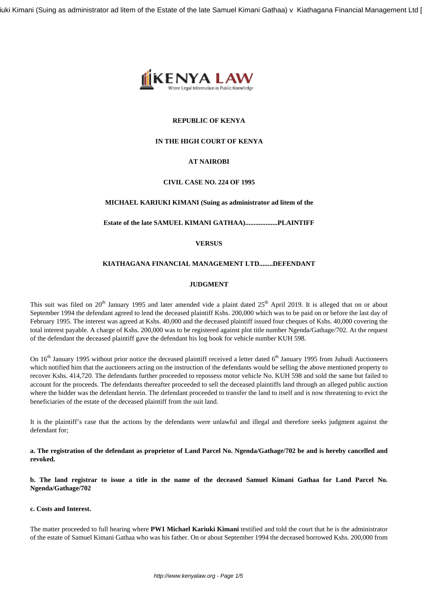iuki Kimani (Suing as administrator ad litem of the Estate of the late Samuel Kimani Gathaa) v Kiathagana Financial Management Ltd |



# **REPUBLIC OF KENYA**

# **IN THE HIGH COURT OF KENYA**

# **AT NAIROBI**

## **CIVIL CASE NO. 224 OF 1995**

## **MICHAEL KARIUKI KIMANI (Suing as administrator ad litem of the**

## **Estate of the late SAMUEL KIMANI GATHAA)...................PLAINTIFF**

## **VERSUS**

## **KIATHAGANA FINANCIAL MANAGEMENT LTD........DEFENDANT**

## **JUDGMENT**

This suit was filed on 20<sup>th</sup> January 1995 and later amended vide a plaint dated 25<sup>th</sup> April 2019. It is alleged that on or about September 1994 the defendant agreed to lend the deceased plaintiff Kshs. 200,000 which was to be paid on or before the last day of February 1995. The interest was agreed at Kshs. 40,000 and the deceased plaintiff issued four cheques of Kshs. 40,000 covering the total interest payable. A charge of Kshs. 200,000 was to be registered against plot title number Ngenda/Gathage/702. At the request of the defendant the deceased plaintiff gave the defendant his log book for vehicle number KUH 598.

On  $16<sup>th</sup>$  January 1995 without prior notice the deceased plaintiff received a letter dated  $6<sup>th</sup>$  January 1995 from Juhudi Auctioneers which notified him that the auctioneers acting on the instruction of the defendants would be selling the above mentioned property to recover Kshs. 414,720. The defendants further proceeded to repossess motor vehicle No. KUH 598 and sold the same but failed to account for the proceeds. The defendants thereafter proceeded to sell the deceased plaintiffs land through an alleged public auction where the bidder was the defendant herein. The defendant proceeded to transfer the land to itself and is now threatening to evict the beneficiaries of the estate of the deceased plaintiff from the suit land.

It is the plaintiff's case that the actions by the defendants were unlawful and illegal and therefore seeks judgment against the defendant for;

**a. The registration of the defendant as proprietor of Land Parcel No. Ngenda/Gathage/702 be and is hereby cancelled and revoked.**

**b. The land registrar to issue a title in the name of the deceased Samuel Kimani Gathaa for Land Parcel No. Ngenda/Gathage/702**

## **c. Costs and Interest.**

The matter proceeded to full hearing where **PW1 Michael Kariuki Kimani** testified and told the court that he is the administrator of the estate of Samuel Kimani Gathaa who was his father. On or about September 1994 the deceased borrowed Kshs. 200,000 from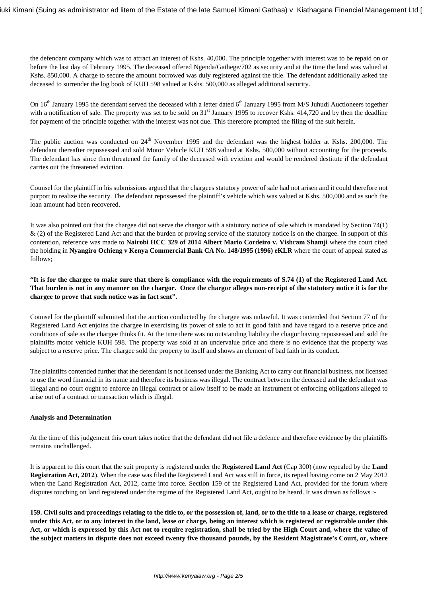the defendant company which was to attract an interest of Kshs. 40,000. The principle together with interest was to be repaid on or before the last day of February 1995. The deceased offered Ngenda/Gathege/702 as security and at the time the land was valued at Kshs. 850,000. A charge to secure the amount borrowed was duly registered against the title. The defendant additionally asked the deceased to surrender the log book of KUH 598 valued at Kshs. 500,000 as alleged additional security.

On  $16<sup>th</sup>$  January 1995 the defendant served the deceased with a letter dated  $6<sup>th</sup>$  January 1995 from M/S Juhudi Auctioneers together with a notification of sale. The property was set to be sold on  $31<sup>st</sup>$  January 1995 to recover Kshs. 414,720 and by then the deadline for payment of the principle together with the interest was not due. This therefore prompted the filing of the suit herein.

The public auction was conducted on  $24<sup>th</sup>$  November 1995 and the defendant was the highest bidder at Kshs. 200,000. The defendant thereafter repossessed and sold Motor Vehicle KUH 598 valued at Kshs. 500,000 without accounting for the proceeds. The defendant has since then threatened the family of the deceased with eviction and would be rendered destitute if the defendant carries out the threatened eviction.

Counsel for the plaintiff in his submissions argued that the chargees statutory power of sale had not arisen and it could therefore not purport to realize the security. The defendant repossessed the plaintiff's vehicle which was valued at Kshs. 500,000 and as such the loan amount had been recovered.

It was also pointed out that the chargee did not serve the chargor with a statutory notice of sale which is mandated by Section 74(1) & (2) of the Registered Land Act and that the burden of proving service of the statutory notice is on the chargee. In support of this contention, reference was made to **Nairobi HCC 329 of 2014 Albert Mario Cordeiro v. Vishram Shamji** where the court cited the holding in **Nyangiro Ochieng v Kenya Commercial Bank CA No. 148/1995 (1996) eKLR** where the court of appeal stated as follows;

**"It is for the chargee to make sure that there is compliance with the requirements of S.74 (1) of the Registered Land Act. That burden is not in any manner on the chargor. Once the chargor alleges non-receipt of the statutory notice it is for the chargee to prove that such notice was in fact sent".**

Counsel for the plaintiff submitted that the auction conducted by the chargee was unlawful. It was contended that Section 77 of the Registered Land Act enjoins the chargee in exercising its power of sale to act in good faith and have regard to a reserve price and conditions of sale as the chargee thinks fit. At the time there was no outstanding liability the chagor having repossessed and sold the plaintiffs motor vehicle KUH 598. The property was sold at an undervalue price and there is no evidence that the property was subject to a reserve price. The chargee sold the property to itself and shows an element of bad faith in its conduct.

The plaintiffs contended further that the defendant is not licensed under the Banking Act to carry out financial business, not licensed to use the word financial in its name and therefore its business was illegal. The contract between the deceased and the defendant was illegal and no court ought to enforce an illegal contract or allow itself to be made an instrument of enforcing obligations alleged to arise out of a contract or transaction which is illegal.

## **Analysis and Determination**

At the time of this judgement this court takes notice that the defendant did not file a defence and therefore evidence by the plaintiffs remains unchallenged.

It is apparent to this court that the suit property is registered under the **Registered Land Act** (Cap 300) (now repealed by the **Land Registration Act, 2012**). When the case was filed the Registered Land Act was still in force, its repeal having come on 2 May 2012 when the Land Registration Act, 2012, came into force. Section 159 of the Registered Land Act, provided for the forum where disputes touching on land registered under the regime of the Registered Land Act, ought to be heard. It was drawn as follows :-

**159. Civil suits and proceedings relating to the title to, or the possession of, land, or to the title to a lease or charge, registered under this Act, or to any interest in the land, lease or charge, being an interest which is registered or registrable under this Act, or which is expressed by this Act not to require registration, shall be tried by the High Court and, where the value of the subject matters in dispute does not exceed twenty five thousand pounds, by the Resident Magistrate's Court, or, where**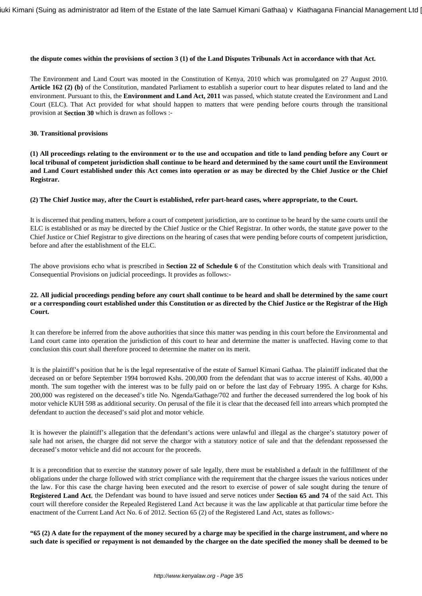## **the dispute comes within the provisions of section 3 (1) of the Land Disputes Tribunals Act in accordance with that Act.**

The Environment and Land Court was mooted in the Constitution of Kenya, 2010 which was promulgated on 27 August 2010. **Article 162 (2) (b)** of the Constitution, mandated Parliament to establish a superior court to hear disputes related to land and the environment. Pursuant to this, the **Environment and Land Act, 2011** was passed, which statute created the Environment and Land Court (ELC). That Act provided for what should happen to matters that were pending before courts through the transitional provision at **Section 30** which is drawn as follows :-

#### **30. Transitional provisions**

**(1) All proceedings relating to the environment or to the use and occupation and title to land pending before any Court or local tribunal of competent jurisdiction shall continue to be heard and determined by the same court until the Environment and Land Court established under this Act comes into operation or as may be directed by the Chief Justice or the Chief Registrar.**

#### **(2) The Chief Justice may, after the Court is established, refer part-heard cases, where appropriate, to the Court.**

It is discerned that pending matters, before a court of competent jurisdiction, are to continue to be heard by the same courts until the ELC is established or as may be directed by the Chief Justice or the Chief Registrar. In other words, the statute gave power to the Chief Justice or Chief Registrar to give directions on the hearing of cases that were pending before courts of competent jurisdiction, before and after the establishment of the ELC.

The above provisions echo what is prescribed in **Section 22 of Schedule 6** of the Constitution which deals with Transitional and Consequential Provisions on judicial proceedings. It provides as follows:-

# **22. All judicial proceedings pending before any court shall continue to be heard and shall be determined by the same court or a corresponding court established under this Constitution or as directed by the Chief Justice or the Registrar of the High Court.**

It can therefore be inferred from the above authorities that since this matter was pending in this court before the Environmental and Land court came into operation the jurisdiction of this court to hear and determine the matter is unaffected. Having come to that conclusion this court shall therefore proceed to determine the matter on its merit.

It is the plaintiff's position that he is the legal representative of the estate of Samuel Kimani Gathaa. The plaintiff indicated that the deceased on or before September 1994 borrowed Kshs. 200,000 from the defendant that was to accrue interest of Kshs. 40,000 a month. The sum together with the interest was to be fully paid on or before the last day of February 1995. A charge for Kshs. 200,000 was registered on the deceased's title No. Ngenda/Gathage/702 and further the deceased surrendered the log book of his motor vehicle KUH 598 as additional security. On perusal of the file it is clear that the deceased fell into arrears which prompted the defendant to auction the deceased's said plot and motor vehicle.

It is however the plaintiff's allegation that the defendant's actions were unlawful and illegal as the chargee's statutory power of sale had not arisen, the chargee did not serve the chargor with a statutory notice of sale and that the defendant repossessed the deceased's motor vehicle and did not account for the proceeds.

It is a precondition that to exercise the statutory power of sale legally, there must be established a default in the fulfillment of the obligations under the charge followed with strict compliance with the requirement that the chargee issues the various notices under the law. For this case the charge having been executed and the resort to exercise of power of sale sought during the tenure of **Registered Land Act**, the Defendant was bound to have issued and serve notices under **Section 65 and 74** of the said Act. This court will therefore consider the Repealed Registered Land Act because it was the law applicable at that particular time before the enactment of the Current Land Act No. 6 of 2012. Section 65 (2) of the Registered Land Act, states as follows:-

**"65 (2) A date for the repayment of the money secured by a charge may be specified in the charge instrument, and where no such date is specified or repayment is not demanded by the chargee on the date specified the money shall be deemed to be**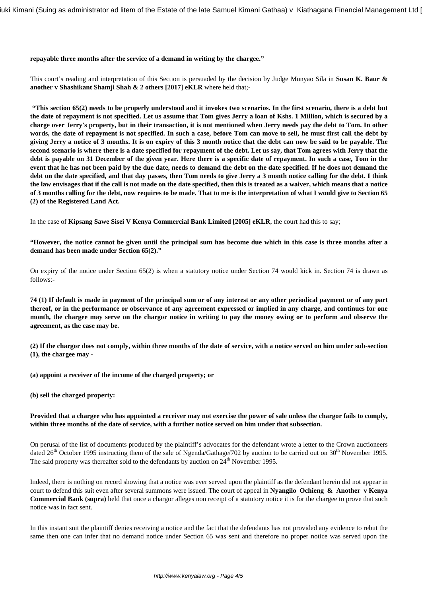#### **repayable three months after the service of a demand in writing by the chargee."**

This court's reading and interpretation of this Section is persuaded by the decision by Judge Munyao Sila in **Susan K. Baur & another v Shashikant Shamji Shah & 2 others [2017] eKLR** where held that;-

**"This section 65(2) needs to be properly understood and it invokes two scenarios. In the first scenario, there is a debt but the date of repayment is not specified. Let us assume that Tom gives Jerry a loan of Kshs. 1 Million, which is secured by a charge over Jerry's property, but in their transaction, it is not mentioned when Jerry needs pay the debt to Tom. In other words, the date of repayment is not specified. In such a case, before Tom can move to sell, he must first call the debt by giving Jerry a notice of 3 months. It is on expiry of this 3 month notice that the debt can now be said to be payable. The second scenario is where there is a date specified for repayment of the debt. Let us say, that Tom agrees with Jerry that the debt is payable on 31 December of the given year. Here there is a specific date of repayment. In such a case, Tom in the event that he has not been paid by the due date, needs to demand the debt on the date specified. If he does not demand the debt on the date specified, and that day passes, then Tom needs to give Jerry a 3 month notice calling for the debt. I think the law envisages that if the call is not made on the date specified, then this is treated as a waiver, which means that a notice of 3 months calling for the debt, now requires to be made. That to me is the interpretation of what I would give to Section 65 (2) of the Registered Land Act.**

In the case of **Kipsang Sawe Sisei V Kenya Commercial Bank Limited [2005] eKLR**, the court had this to say;

**"However, the notice cannot be given until the principal sum has become due which in this case is three months after a demand has been made under Section 65(2)."** 

On expiry of the notice under Section 65(2) is when a statutory notice under Section 74 would kick in. Section 74 is drawn as follows:-

**74 (1) If default is made in payment of the principal sum or of any interest or any other periodical payment or of any part thereof, or in the performance or observance of any agreement expressed or implied in any charge, and continues for one month, the chargee may serve on the chargor notice in writing to pay the money owing or to perform and observe the agreement, as the case may be.**

**(2) If the chargor does not comply, within three months of the date of service, with a notice served on him under sub-section (1), the chargee may -**

**(a) appoint a receiver of the income of the charged property; or**

**(b) sell the charged property:**

## **Provided that a chargee who has appointed a receiver may not exercise the power of sale unless the chargor fails to comply, within three months of the date of service, with a further notice served on him under that subsection.**

On perusal of the list of documents produced by the plaintiff's advocates for the defendant wrote a letter to the Crown auctioneers dated  $26<sup>th</sup>$  October 1995 instructing them of the sale of Ngenda/Gathage/702 by auction to be carried out on  $30<sup>th</sup>$  November 1995. The said property was thereafter sold to the defendants by auction on  $24<sup>th</sup>$  November 1995.

Indeed, there is nothing on record showing that a notice was ever served upon the plaintiff as the defendant herein did not appear in court to defend this suit even after several summons were issued. The court of appeal in **Nyangilo Ochieng & Another v Kenya Commercial Bank (supra)** held that once a chargor alleges non receipt of a statutory notice it is for the chargee to prove that such notice was in fact sent.

In this instant suit the plaintiff denies receiving a notice and the fact that the defendants has not provided any evidence to rebut the same then one can infer that no demand notice under Section 65 was sent and therefore no proper notice was served upon the